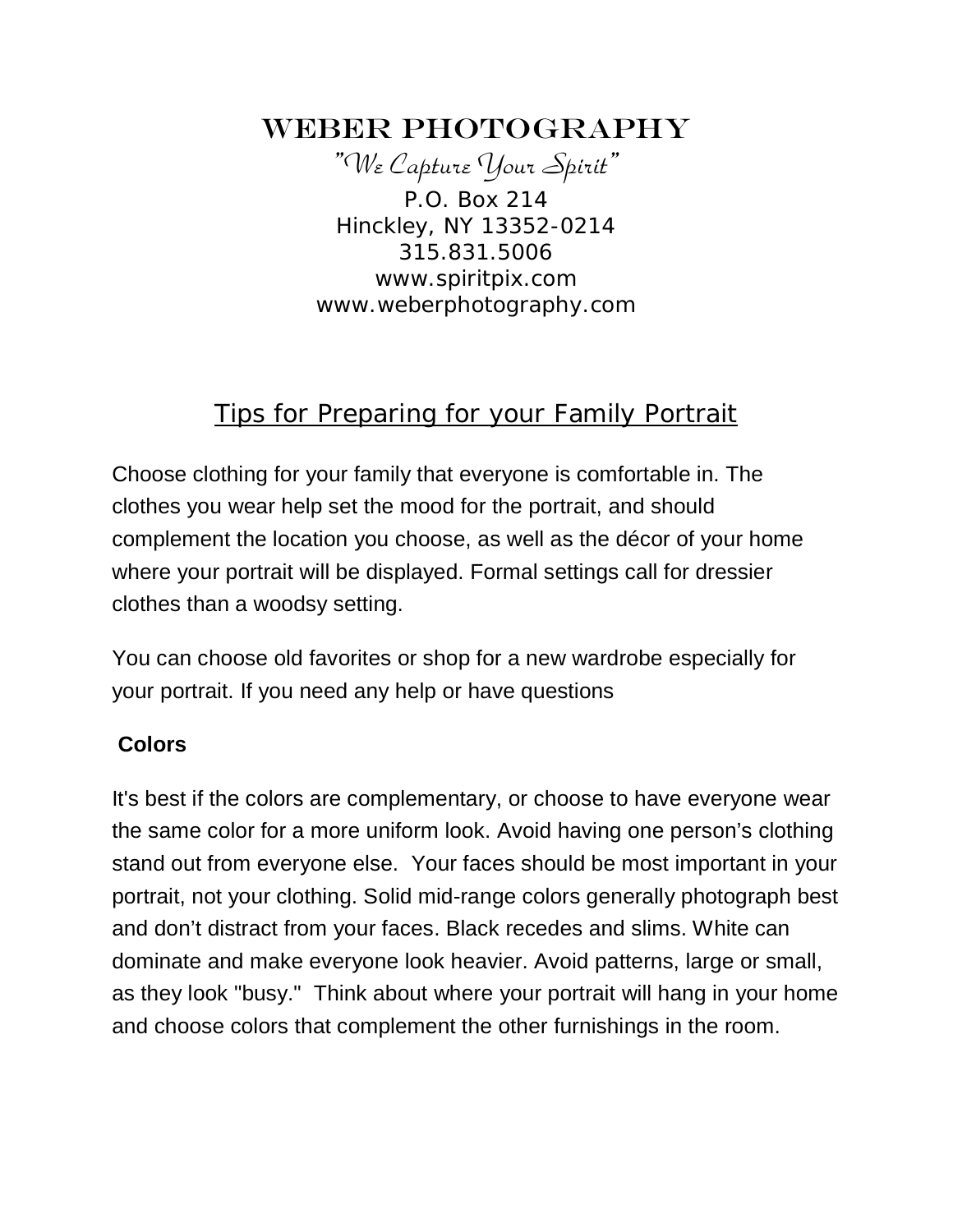# WEBER PHOTOGRAPHY

"We Capture Your Spirit" P.O. Box 214 Hinckley, NY 13352-0214 315.831.5006 www.spiritpix.com www.weberphotography.com

# Tips for Preparing for your Family Portrait

Choose clothing for your family that everyone is comfortable in. The clothes you wear help set the mood for the portrait, and should complement the location you choose, as well as the décor of your home where your portrait will be displayed. Formal settings call for dressier clothes than a woodsy setting.

You can choose old favorites or shop for a new wardrobe especially for your portrait. If you need any help or have questions

#### **Colors**

It's best if the colors are complementary, or choose to have everyone wear the same color for a more uniform look. Avoid having one person's clothing stand out from everyone else. Your faces should be most important in your portrait, not your clothing. Solid mid-range colors generally photograph best and don't distract from your faces. Black recedes and slims. White can dominate and make everyone look heavier. Avoid patterns, large or small, as they look "busy." Think about where your portrait will hang in your home and choose colors that complement the other furnishings in the room.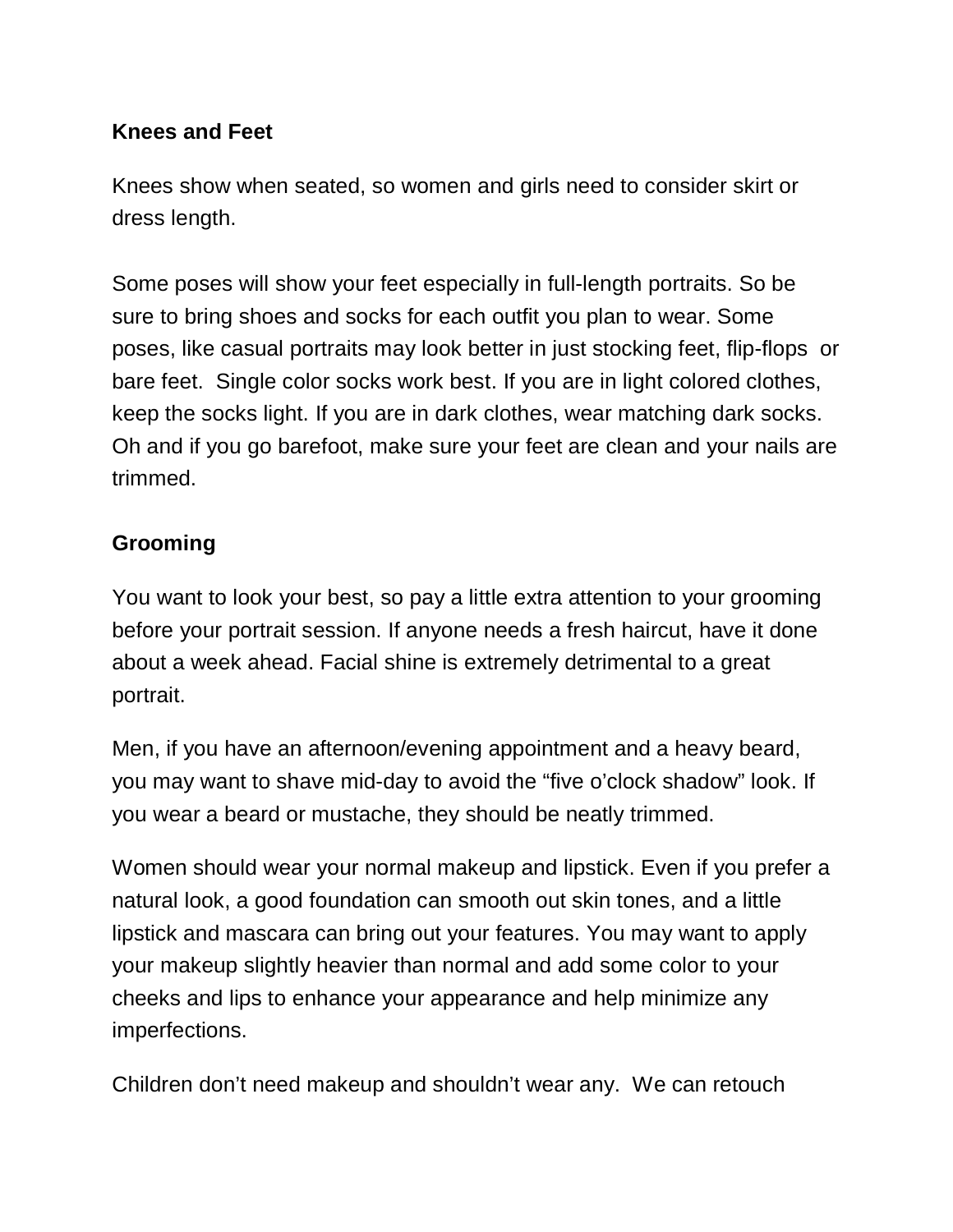#### **Knees and Feet**

Knees show when seated, so women and girls need to consider skirt or dress length.

Some poses will show your feet especially in full-length portraits. So be sure to bring shoes and socks for each outfit you plan to wear. Some poses, like casual portraits may look better in just stocking feet, flip-flops or bare feet. Single color socks work best. If you are in light colored clothes, keep the socks light. If you are in dark clothes, wear matching dark socks. Oh and if you go barefoot, make sure your feet are clean and your nails are trimmed.

### **Grooming**

You want to look your best, so pay a little extra attention to your grooming before your portrait session. If anyone needs a fresh haircut, have it done about a week ahead. Facial shine is extremely detrimental to a great portrait.

Men, if you have an afternoon/evening appointment and a heavy beard, you may want to shave mid-day to avoid the "five o'clock shadow" look. If you wear a beard or mustache, they should be neatly trimmed.

Women should wear your normal makeup and lipstick. Even if you prefer a natural look, a good foundation can smooth out skin tones, and a little lipstick and mascara can bring out your features. You may want to apply your makeup slightly heavier than normal and add some color to your cheeks and lips to enhance your appearance and help minimize any imperfections.

Children don't need makeup and shouldn't wear any. We can retouch